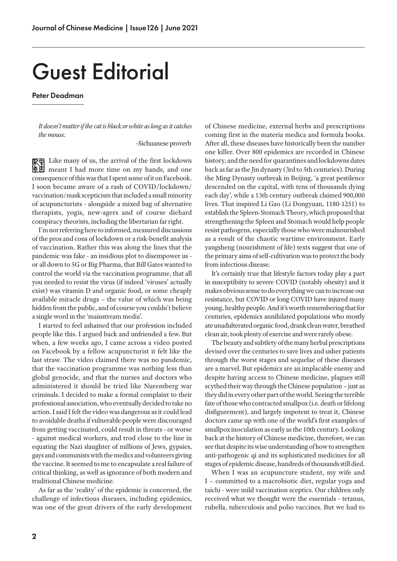## Guest Editorial

## Peter Deadman

*It doesn't matter if the cat is black or white as long as it catches the mouse.*

-Sichuanese proverb

Like many of us, the arrival of the first lockdown meant I had more time on my hands, and one consequence of this was that I spent some of it on Facebook. I soon became aware of a rash of COVID/lockdown/ vaccination/mask scepticism that included a small minority of acupuncturists - alongside a mixed bag of alternative therapists, yogis, new-agers and of course diehard conspiracy theorists, including the libertarian far right.

I'm not referring here to informed, measured discussions of the pros and cons of lockdown or a risk-benefit analysis of vaccination. Rather this was along the lines that the pandemic was fake - an insidious plot to disempower us or all down to 5G or Big Pharma, that Bill Gates wanted to control the world via the vaccination programme, that all you needed to resist the virus (if indeed 'viruses' actually exist) was vitamin D and organic food, or some cheaply available miracle drugs – the value of which was being hidden from the public, and of course you couldn't believe a single word in the 'mainstream media'.

I started to feel ashamed that our profession included people like this. I argued back and unfriended a few. But when, a few weeks ago, I came across a video posted on Facebook by a fellow acupuncturist it felt like the last straw. The video claimed there was no pandemic, that the vaccination programme was nothing less than global genocide, and that the nurses and doctors who administered it should be tried like Nuremberg war criminals. I decided to make a formal complaint to their professional association, who eventually decided to take no action. I said I felt the video was dangerous as it could lead to avoidable deaths if vulnerable people were discouraged from getting vaccinated, could result in threats - or worse - against medical workers, and trod close to the line in equating the Nazi slaughter of millions of Jews, gypsies, gays and communists with the medics and volunteers giving the vaccine. It seemed to me to encapsulate a real failure of critical thinking, as well as ignorance of both modern and traditional Chinese medicine.

As far as the 'reality' of the epidemic is concerned, the challenge of infectious diseases, including epidemics, was one of the great drivers of the early development of Chinese medicine, external herbs and prescriptions coming first in the materia medica and formula books. After all, these diseases have historically been the number one killer. Over 800 epidemics are recorded in Chinese history, and the need for quarantines and lockdowns dates back as far as the Jin dynasty (3rd to 5th centuries). During the Ming Dynasty outbreak in Beijing, 'a great pestilence descended on the capital, with tens of thousands dying each day', while a 13th century outbreak claimed 900,000 lives. That inspired Li Gao (Li Dongyuan, 1180-1251) to establish the Spleen-Stomach Theory, which proposed that strengthening the Spleen and Stomach would help people resist pathogens, especially those who were malnourished as a result of the chaotic wartime environment. Early yangsheng (nourishment of life) texts suggest that one of the primary aims of self-cultivation was to protect the body from infectious disease.

It's certainly true that lifestyle factors today play a part in susceptibiity to severe COVID (notably obesity) and it makes obvious sense to do everything we can to increase our resistance, but COVID or long COVID have injured many young, healthy people. And it's worth remembering that for centuries, epidemics annihilated populations who mostly ate unadulterated organic food, drank clean water, breathed clean air, took plenty of exercise and were rarely obese.

The beauty and subtlety of the many herbal prescriptions devised over the centuries to save lives and usher patients through the worst stages and sequelae of these diseases are a marvel. But epidemics are an implacable enemy and despite having access to Chinese medicine, plagues still scythed their way through the Chinese population – just as they did in every other part of the world. Seeing the terrible fate of those who contracted smallpox (i.e. death or lifelong disfigurement), and largely impotent to treat it, Chinese doctors came up with one of the world's first examples of smallpox inoculation as early as the 10th century. Looking back at the history of Chinese medicine, therefore, we can see that despite its wise understanding of how to strengthen anti-pathogenic qi and its sophisticated medicines for all stages of epidemic disease, hundreds of thousands still died.

When I was an acupuncture student, my wife and I – committed to a macrobiotic diet, regular yoga and taichi - were mild vaccination sceptics. Our children only received what we thought were the essentials - tetanus, rubella, tuberculosis and polio vaccines. But we had to